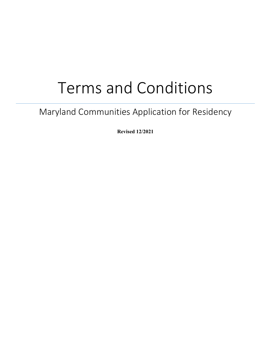# Terms and Conditions

## Maryland Communities Application for Residency

**Revised 12/2021**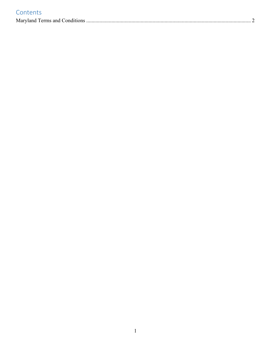|  | Contents |
|--|----------|
|  |          |

|--|